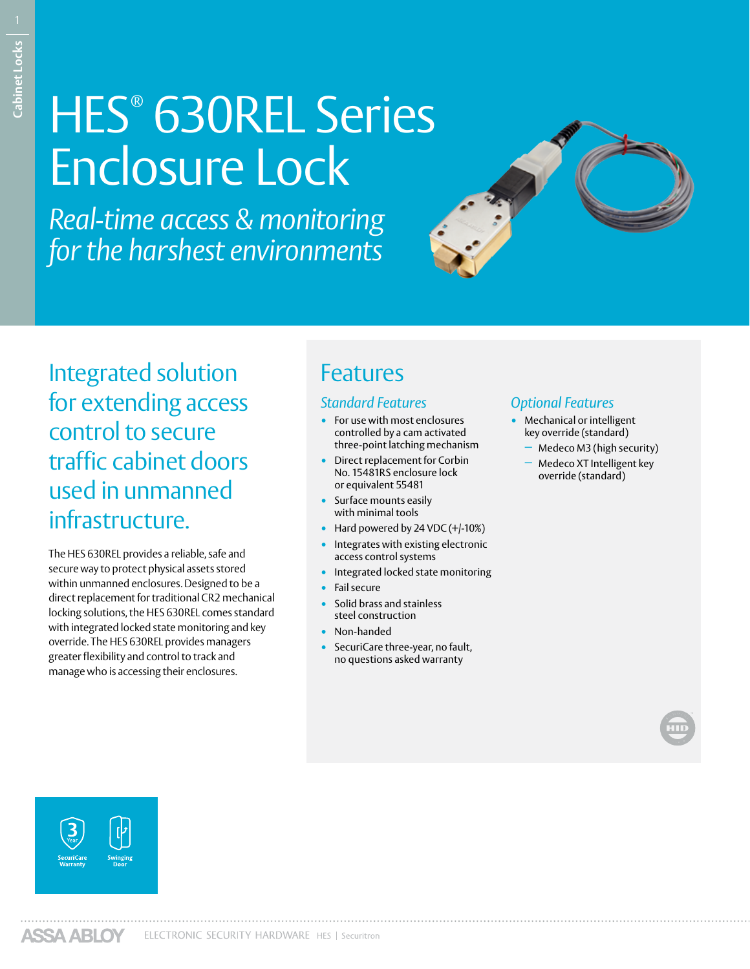# HES® 630REL Series Enclosure Lock

*Real-time access & monitoring for the harshest environments*



Integrated solution for extending access control to secure traffic cabinet doors used in unmanned infrastructure.

The HES 630REL provides a reliable, safe and secure way to protect physical assets stored within unmanned enclosures. Designed to be a direct replacement for traditional CR2 mechanical locking solutions, the HES 630REL comes standard with integrated locked state monitoring and key override. The HES 630REL provides managers greater flexibility and control to track and manage who is accessing their enclosures.

## Features

#### *Standard Features*

- For use with most enclosures controlled by a cam activated three-point latching mechanism
- Direct replacement for Corbin No. 15481RS enclosure lock or equivalent 55481
- Surface mounts easily with minimal tools
- Hard powered by 24 VDC (+/-10%)
- Integrates with existing electronic access control systems
- Integrated locked state monitoring
- Fail secure
- Solid brass and stainless steel construction
- Non-handed
- SecuriCare three-year, no fault, no questions asked warranty

#### *Optional Features*

- Mechanical or intelligent key override (standard)
- − Medeco M3 (high security)
- − Medeco XT Intelligent key override (standard)